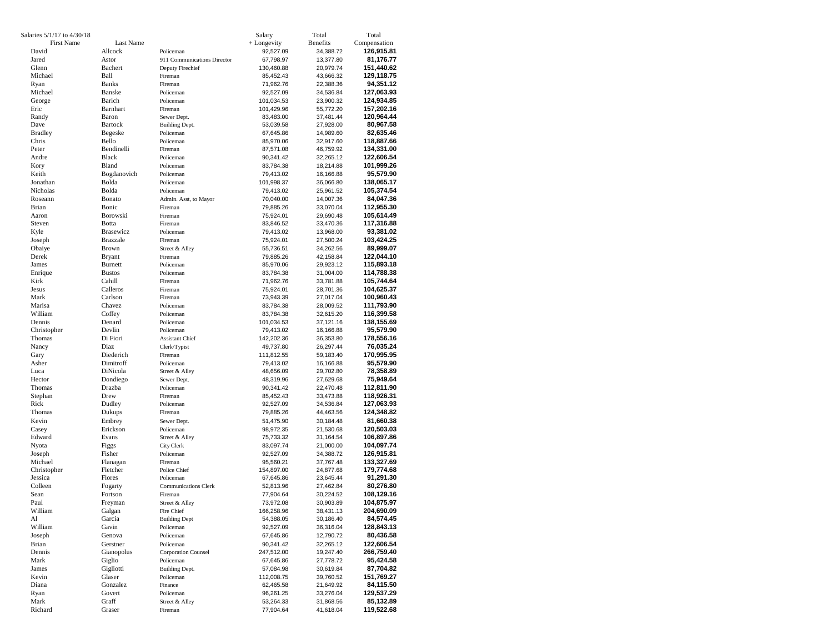| Salaries 5/1/17 to 4/30/18 |                          |                                          | Salary                  | Total                  | Total                    |
|----------------------------|--------------------------|------------------------------------------|-------------------------|------------------------|--------------------------|
| First Name                 | Last Name                |                                          | + Longevity             | <b>Benefits</b>        | Compensation             |
| David                      | Allcock                  | Policeman                                | 92,527.09               | 34,388.72              | 126,915.81               |
| Jared                      | Astor                    | 911 Communications Director              | 67,798.97               | 13,377.80              | 81,176.77                |
| Glenn<br>Michael           | Bachert<br>Ball          | Deputy Firechief                         | 130,460.88              | 20,979.74              | 151,440.62<br>129,118.75 |
| Ryan                       | <b>Banks</b>             | Fireman<br>Fireman                       | 85,452.43<br>71,962.76  | 43,666.32<br>22,388.36 | 94,351.12                |
| Michael                    | Banske                   | Policeman                                | 92,527.09               | 34,536.84              | 127,063.93               |
| George                     | Barich                   | Policeman                                | 101,034.53              | 23,900.32              | 124,934.85               |
| Eric                       | Barnhart                 | Fireman                                  | 101,429.96              | 55,772.20              | 157,202.16               |
| Randy                      | Baron                    | Sewer Dept.                              | 83,483.00               | 37,481.44              | 120,964.44               |
| Dave                       | <b>Bartock</b>           | Building Dept.                           | 53,039.58               | 27,928.00              | 80,967.58                |
| <b>Bradley</b>             | Begeske                  | Policeman                                | 67,645.86               | 14,989.60              | 82,635.46                |
| Chris                      | Bello                    | Policeman                                | 85,970.06               | 32,917.60              | 118,887.66               |
| Peter<br>Andre             | Bendinelli<br>Black      | Fireman<br>Policeman                     | 87,571.08               | 46,759.92              | 134,331.00<br>122,606.54 |
| Kory                       | Bland                    | Policeman                                | 90,341.42<br>83,784.38  | 32,265.12<br>18,214.88 | 101,999.26               |
| Keith                      | Bogdanovich              | Policeman                                | 79,413.02               | 16,166.88              | 95,579.90                |
| Jonathan                   | Bolda                    | Policeman                                | 101,998.37              | 36,066.80              | 138,065.17               |
| Nicholas                   | Bolda                    | Policeman                                | 79,413.02               | 25,961.52              | 105,374.54               |
| Roseann                    | Bonato                   | Admin. Asst, to Mayor                    | 70,040.00               | 14,007.36              | 84,047.36                |
| Brian                      | Bonic                    | Fireman                                  | 79,885.26               | 33,070.04              | 112,955.30               |
| Aaron                      | Borowski                 | Fireman                                  | 75,924.01               | 29,690.48              | 105,614.49               |
| Steven                     | Botta                    | Fireman                                  | 83,846.52               | 33,470.36              | 117,316.88               |
| Kyle                       | <b>Brasewicz</b>         | Policeman                                | 79,413.02               | 13,968.00              | 93,381.02                |
| Joseph<br>Obaiye           | <b>Brazzale</b><br>Brown | Fireman                                  | 75,924.01               | 27,500.24              | 103,424.25               |
| Derek                      | <b>Bryant</b>            | Street & Alley<br>Fireman                | 55,736.51<br>79,885.26  | 34,262.56<br>42,158.84 | 89,999.07<br>122,044.10  |
| James                      | <b>Burnett</b>           | Policeman                                | 85,970.06               | 29,923.12              | 115,893.18               |
| Enrique                    | <b>Bustos</b>            | Policeman                                | 83,784.38               | 31,004.00              | 114,788.38               |
| Kirk                       | Cahill                   | Fireman                                  | 71,962.76               | 33,781.88              | 105,744.64               |
| Jesus                      | Calleros                 | Fireman                                  | 75,924.01               | 28,701.36              | 104,625.37               |
| Mark                       | Carlson                  | Fireman                                  | 73,943.39               | 27,017.04              | 100,960.43               |
| Marisa                     | Chavez                   | Policeman                                | 83,784.38               | 28,009.52              | 111,793.90               |
| William                    | Coffey                   | Policeman                                | 83,784.38               | 32,615.20              | 116,399.58               |
| Dennis<br>Christopher      | Denard<br>Devlin         | Policeman<br>Policeman                   | 101,034.53              | 37,121.16              | 138,155.69               |
| Thomas                     | Di Fiori                 | <b>Assistant Chief</b>                   | 79,413.02<br>142,202.36 | 16,166.88<br>36,353.80 | 95,579.90<br>178,556.16  |
| Nancy                      | Diaz                     | Clerk/Typist                             | 49,737.80               | 26,297.44              | 76,035.24                |
| Gary                       | Diederich                | Fireman                                  | 111,812.55              | 59,183.40              | 170,995.95               |
| Asher                      | Dimitroff                | Policeman                                | 79,413.02               | 16,166.88              | 95,579.90                |
| Luca                       | DiNicola                 | Street & Alley                           | 48,656.09               | 29,702.80              | 78,358.89                |
| Hector                     | Dondiego                 | Sewer Dept.                              | 48,319.96               | 27,629.68              | 75,949.64                |
| Thomas                     | Drazba                   | Policeman                                | 90,341.42               | 22,470.48              | 112,811.90               |
| Stephan                    | Drew                     | Fireman                                  | 85,452.43               | 33,473.88              | 118,926.31               |
| Rick<br>Thomas             | Dudley<br>Dukups         | Policeman<br>Fireman                     | 92,527.09<br>79,885.26  | 34,536.84<br>44,463.56 | 127,063.93<br>124,348.82 |
| Kevin                      | Embrey                   | Sewer Dept.                              | 51,475.90               | 30,184.48              | 81,660.38                |
| Casey                      | Erickson                 | Policeman                                | 98,972.35               | 21,530.68              | 120,503.03               |
| Edward                     | Evans                    | Street & Alley                           | 75,733.32               | 31,164.54              | 106,897.86               |
| Nyota                      | Figgs                    | City Clerk                               | 83,097.74               | 21,000.00              | 104,097.74               |
| Joseph                     | Fisher                   | Policeman                                | 92,527.09               | 34,388.72              | 126,915.81               |
| Michael                    | Flanagan                 | Fireman                                  | 95,560.21               | 37,767.48              | 133,327.69               |
| Christopher                | Fletcher                 | Police Chief                             | 154,897.00              | 24,877.68              | 179,774.68               |
| Jessica<br>Colleen         | Flores<br>Fogarty        | Policeman<br><b>Communications Clerk</b> | 67,645.86               | 23,645.44<br>27,462.84 | 91,291.30<br>80,276.80   |
| Sean                       | Fortson                  | Fireman                                  | 52,813.96<br>77,904.64  | 30,224.52              | 108,129.16               |
| Paul                       | Freyman                  | Street & Alley                           | 73,972.08               | 30,903.89              | 104,875.97               |
| William                    | Galgan                   | Fire Chief                               | 166,258.96              | 38,431.13              | 204,690.09               |
| Al                         | Garcia                   | <b>Building Dept</b>                     | 54,388.05               | 30,186.40              | 84,574.45                |
| William                    | Gavin                    | Policeman                                | 92,527.09               | 36,316.04              | 128,843.13               |
| Joseph                     | Genova                   | Policeman                                | 67,645.86               | 12,790.72              | 80,436.58                |
| Brian                      | Gerstner                 | Policeman                                | 90,341.42               | 32,265.12              | 122,606.54               |
| Dennis                     | Gianopolus               | <b>Corporation Counsel</b>               | 247,512.00              | 19,247.40              | 266,759.40               |
| Mark<br>James              | Giglio<br>Gigliotti      | Policeman<br>Building Dept.              | 67,645.86               | 27,778.72              | 95,424.58<br>87,704.82   |
| Kevin                      | Glaser                   | Policeman                                | 57,084.98<br>112,008.75 | 30,619.84<br>39,760.52 | 151,769.27               |
| Diana                      | Gonzalez                 | Finance                                  | 62,465.58               | 21,649.92              | 84,115.50                |
| Ryan                       | Govert                   | Policeman                                | 96,261.25               | 33,276.04              | 129,537.29               |
| Mark                       | Graff                    | Street & Alley                           | 53,264.33               | 31,868.56              | 85,132.89                |
| Richard                    | Graser                   | Fireman                                  | 77,904.64               | 41,618.04              | 119,522.68               |
|                            |                          |                                          |                         |                        |                          |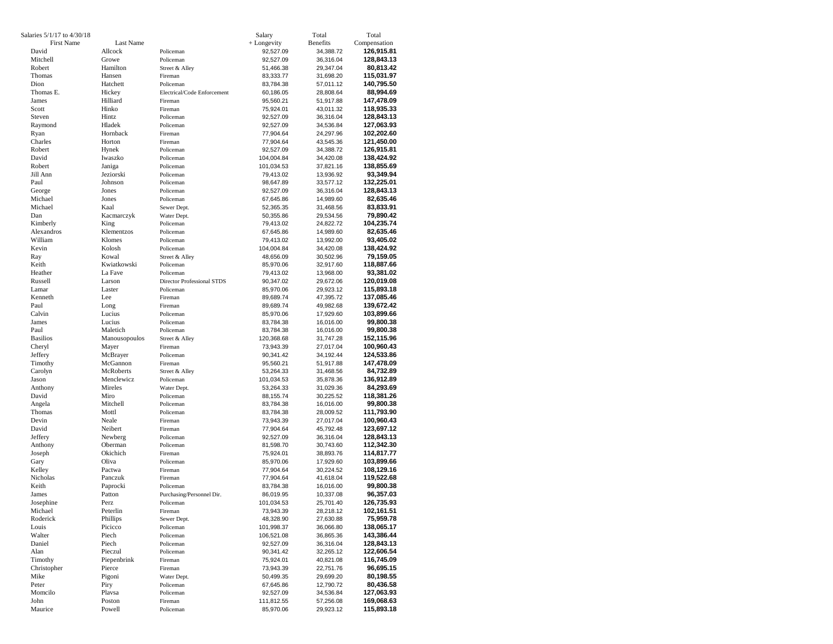| Salaries 5/1/17 to 4/30/18 |                     |                                   | Salary                 | Total                  | Total                    |
|----------------------------|---------------------|-----------------------------------|------------------------|------------------------|--------------------------|
| <b>First Name</b>          | Last Name           |                                   | + Longevity            | <b>Benefits</b>        | Compensation             |
| David                      | Allcock             | Policeman                         | 92,527.09              | 34,388.72              | 126,915.81               |
| Mitchell                   | Growe               | Policeman                         | 92,527.09              | 36,316.04              | 128,843.13               |
| Robert                     | Hamilton            | Street & Alley                    | 51,466.38              | 29,347.04              | 80,813.42                |
| Thomas                     | Hansen              | Fireman                           | 83,333.77              | 31,698.20              | 115,031.97               |
| Dion                       | Hatchett            | Policeman                         | 83,784.38              | 57,011.12              | 140,795.50               |
| Thomas E.                  | Hickey              | Electrical/Code Enforcement       | 60,186.05              | 28,808.64              | 88,994.69                |
| James                      | Hilliard            | Fireman                           | 95,560.21              | 51,917.88              | 147,478.09               |
| Scott                      | Hinko               | Fireman                           | 75,924.01              | 43,011.32              | 118,935.33               |
| Steven                     | Hintz               | Policeman                         | 92,527.09              | 36,316.04              | 128,843.13               |
| Raymond                    | Hladek              | Policeman                         | 92,527.09              | 34,536.84              | 127,063.93               |
| Ryan                       | Hornback            | Fireman                           | 77,904.64              | 24,297.96              | 102,202.60               |
| Charles                    | Horton              | Fireman                           | 77,904.64              | 43,545.36              | 121,450.00               |
| Robert                     | Hynek               | Policeman                         | 92,527.09              | 34,388.72              | 126,915.81               |
| David                      | Iwaszko             | Policeman                         | 104,004.84             | 34,420.08              | 138,424.92               |
| Robert<br>Jill Ann         | Janiga<br>Jeziorski | Policeman                         | 101,034.53             | 37,821.16              | 138,855.69               |
|                            |                     | Policeman<br>Policeman            | 79,413.02              | 13,936.92              | 93,349.94                |
| Paul                       | Johnson             |                                   | 98,647.89              | 33,577.12              | 132,225.01               |
| George<br>Michael          | Jones<br>Jones      | Policeman                         | 92,527.09              | 36,316.04              | 128,843.13               |
| Michael                    | Kaal                | Policeman<br>Sewer Dept.          | 67,645.86<br>52,365.35 | 14,989.60              | 82,635.46<br>83,833.91   |
| Dan                        | Kacmarczyk          | Water Dept.                       | 50,355.86              | 31,468.56<br>29,534.56 | 79,890.42                |
| Kimberly                   | King                | Policeman                         | 79,413.02              | 24,822.72              | 104,235.74               |
| Alexandros                 | Klementzos          | Policeman                         | 67,645.86              | 14,989.60              | 82,635.46                |
| William                    | Klomes              | Policeman                         | 79,413.02              | 13,992.00              | 93,405.02                |
| Kevin                      | Kolosh              | Policeman                         | 104,004.84             | 34,420.08              | 138,424.92               |
| Ray                        | Kowal               | Street & Alley                    | 48,656.09              | 30,502.96              | 79,159.05                |
| Keith                      | Kwiatkowski         | Policeman                         | 85,970.06              | 32,917.60              | 118,887.66               |
| Heather                    | La Fave             | Policeman                         | 79,413.02              | 13,968.00              | 93,381.02                |
| Russell                    | Larson              | <b>Director Professional STDS</b> | 90,347.02              | 29,672.06              | 120,019.08               |
| Lamar                      | Laster              | Policeman                         | 85,970.06              | 29,923.12              | 115,893.18               |
| Kenneth                    | Lee                 | Fireman                           | 89,689.74              | 47,395.72              | 137,085.46               |
| Paul                       | Long                | Fireman                           | 89,689.74              | 49,982.68              | 139,672.42               |
| Calvin                     | Lucius              | Policeman                         | 85,970.06              | 17,929.60              | 103,899.66               |
| James                      | Lucius              | Policeman                         | 83,784.38              | 16,016.00              | 99,800.38                |
| Paul                       | Maletich            | Policeman                         | 83,784.38              | 16,016.00              | 99,800.38                |
| <b>Basilios</b>            | Manousopoulos       | Street & Alley                    | 120,368.68             | 31,747.28              | 152,115.96               |
| Cheryl                     | Mayer               | Fireman                           | 73,943.39              | 27,017.04              | 100,960.43               |
| Jeffery                    | McBrayer            | Policeman                         | 90,341.42              | 34,192.44              | 124,533.86               |
| Timothy                    | McGannon            | Fireman                           | 95,560.21              | 51,917.88              | 147,478.09               |
| Carolyn                    | McRoberts           | Street & Alley                    | 53,264.33              | 31,468.56              | 84,732.89                |
| Jason                      | Menclewicz          | Policeman                         | 101,034.53             | 35,878.36              | 136,912.89               |
| Anthony                    | Mireles             | Water Dept.                       | 53,264.33              | 31,029.36              | 84,293.69                |
| David                      | Miro                | Policeman                         | 88,155.74              | 30,225.52              | 118,381.26               |
| Angela                     | Mitchell            | Policeman                         | 83,784.38              | 16,016.00              | 99,800.38                |
| Thomas<br>Devin            | Mottl<br>Neale      | Policeman<br>Fireman              | 83,784.38              | 28,009.52              | 111,793.90               |
| David                      | Neibert             | Fireman                           | 73,943.39<br>77,904.64 | 27,017.04              | 100,960.43<br>123,697.12 |
| Jeffery                    | Newberg             | Policeman                         | 92,527.09              | 45,792.48<br>36,316.04 | 128,843.13               |
| Anthony                    | Oberman             | Policeman                         | 81,598.70              | 30,743.60              | 112,342.30               |
| Joseph                     | Okichich            | Fireman                           | 75,924.01              | 38,893.76              | 114,817.77               |
| Gary                       | Oliva               | Policeman                         | 85,970.06              | 17,929.60              | 103,899.66               |
| Kelley                     | Pactwa              | Fireman                           | 77,904.64              | 30,224.52              | 108,129.16               |
| Nicholas                   | Panczuk             | Fireman                           | 77,904.64              | 41,618.04              | 119,522.68               |
| Keith                      | Paprocki            | Policeman                         | 83,784.38              | 16,016.00              | 99,800.38                |
| James                      | Patton              | Purchasing/Personnel Dir.         | 86,019.95              | 10,337.08              | 96,357.03                |
| Josephine                  | Perz                | Policeman                         | 101,034.53             | 25,701.40              | 126,735.93               |
| Michael                    | Peterlin            | Fireman                           | 73,943.39              | 28,218.12              | 102,161.51               |
| Roderick                   | Phillips            | Sewer Dept.                       | 48,328.90              | 27,630.88              | 75,959.78                |
| Louis                      | Picicco             | Policeman                         | 101,998.37             | 36,066.80              | 138,065.17               |
| Walter                     | Piech               | Policeman                         | 106,521.08             | 36,865.36              | 143,386.44               |
| Daniel                     | Piech               | Policeman                         | 92,527.09              | 36,316.04              | 128,843.13               |
| Alan                       | Pieczul             | Policeman                         | 90,341.42              | 32,265.12              | 122,606.54               |
| Timothy                    | Piepenbrink         | Fireman                           | 75,924.01              | 40,821.08              | 116,745.09               |
| Christopher                | Pierce              | Fireman                           | 73,943.39              | 22,751.76              | 96,695.15                |
| Mike                       | Pigoni              | Water Dept.                       | 50,499.35              | 29,699.20              | 80,198.55                |
| Peter                      | Piry                | Policeman                         | 67,645.86              | 12,790.72              | 80,436.58                |
| Momcilo                    | Plavsa              | Policeman                         | 92,527.09              | 34,536.84              | 127,063.93               |
| John                       | Poston              | Fireman                           | 111,812.55             | 57,256.08              | 169,068.63               |
| Maurice                    | Powell              | Policeman                         | 85,970.06              | 29,923.12              | 115,893.18               |